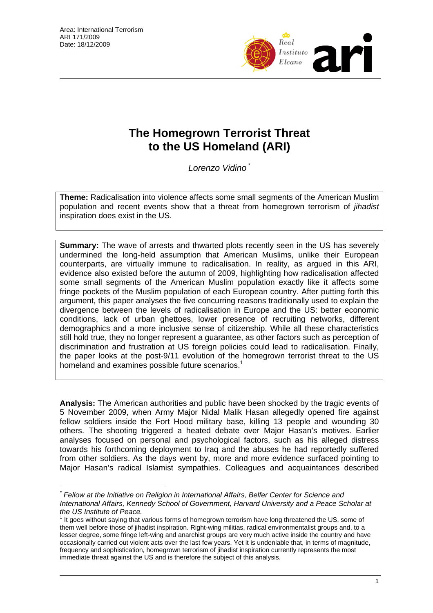$\overline{a}$ 



## **The Homegrown Terrorist Threat to the US Homeland (ARI)**

*Lorenzo Vidino* [\\*](#page-0-0)

**Theme:** Radicalisation into violence affects some small segments of the American Muslim population and recent events show that a threat from homegrown terrorism of *jihadist* inspiration does exist in the US.

**Summary:** The wave of arrests and thwarted plots recently seen in the US has severely undermined the long-held assumption that American Muslims, unlike their European counterparts, are virtually immune to radicalisation. In reality, as argued in this ARI, evidence also existed before the autumn of 2009, highlighting how radicalisation affected some small segments of the American Muslim population exactly like it affects some fringe pockets of the Muslim population of each European country. After putting forth this argument, this paper analyses the five concurring reasons traditionally used to explain the divergence between the levels of radicalisation in Europe and the US: better economic conditions, lack of urban ghettoes, lower presence of recruiting networks, different demographics and a more inclusive sense of citizenship. While all these characteristics still hold true, they no longer represent a guarantee, as other factors such as perception of discrimination and frustration at US foreign policies could lead to radicalisation. Finally, the paper looks at the post-9/11 evolution of the homegrown terrorist threat to the US homeland and examines possible future scenarios.<sup>[1](#page-0-1)</sup>

**Analysis:** The American authorities and public have been shocked by the tragic events of 5 November 2009, when Army Major Nidal Malik Hasan allegedly opened fire against fellow soldiers inside the Fort Hood military base, killing 13 people and wounding 30 others. The shooting triggered a heated debate over Major Hasan's motives. Earlier analyses focused on personal and psychological factors, such as his alleged distress towards his forthcoming deployment to Iraq and the abuses he had reportedly suffered from other soldiers. As the days went by, more and more evidence surfaced pointing to Major Hasan's radical Islamist sympathies. Colleagues and acquaintances described

<span id="page-0-0"></span>*<sup>\*</sup> Fellow at the Initiative on Religion in International Affairs, Belfer Center for Science and International Affairs, Kennedy School of Government, Harvard University and a Peace Scholar at*   $the US Institute of Peace.$ 

<span id="page-0-1"></span>It goes without saying that various forms of homegrown terrorism have long threatened the US, some of them well before those of jihadist inspiration. Right-wing militias, radical environmentalist groups and, to a lesser degree, some fringe left-wing and anarchist groups are very much active inside the country and have occasionally carried out violent acts over the last few years. Yet it is undeniable that, in terms of magnitude, frequency and sophistication, homegrown terrorism of jihadist inspiration currently represents the most immediate threat against the US and is therefore the subject of this analysis.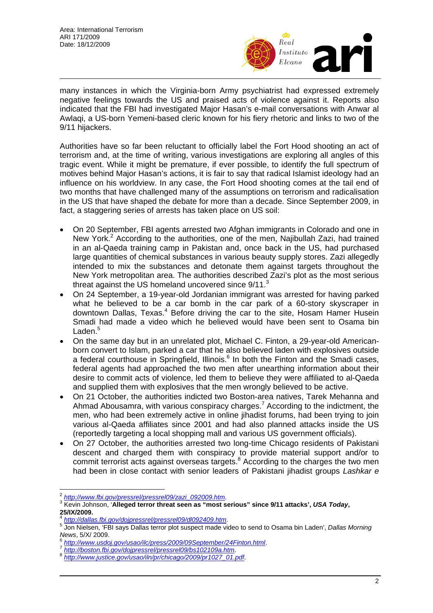

many instances in which the Virginia-born Army psychiatrist had expressed extremely negative feelings towards the US and praised acts of violence against it. Reports also indicated that the FBI had investigated Major Hasan's e-mail conversations with Anwar al Awlaqi, a US-born Yemeni-based cleric known for his fiery rhetoric and links to two of the 9/11 hijackers.

Authorities have so far been reluctant to officially label the Fort Hood shooting an act of terrorism and, at the time of writing, various investigations are exploring all angles of this tragic event. While it might be premature, if ever possible, to identify the full spectrum of motives behind Major Hasan's actions, it is fair to say that radical Islamist ideology had an influence on his worldview. In any case, the Fort Hood shooting comes at the tail end of two months that have challenged many of the assumptions on terrorism and radicalisation in the US that have shaped the debate for more than a decade. Since September 2009, in fact, a staggering series of arrests has taken place on US soil:

- On 20 September, FBI agents arrested two Afghan immigrants in Colorado and one in New York.<sup>[2](#page-1-0)</sup> According to the authorities, one of the men, Najibullah Zazi, had trained in an al-Qaeda training camp in Pakistan and, once back in the US, had purchased large quantities of chemical substances in various beauty supply stores. Zazi allegedly intended to mix the substances and detonate them against targets throughout the New York metropolitan area. The authorities described Zazi's plot as the most serious threat against the US homeland uncovered since 9/11.<sup>[3](#page-1-1)</sup>
- On 24 September, a 19-year-old Jordanian immigrant was arrested for having parked what he believed to be a car bomb in the car park of a 60-story skyscraper in downtown Dallas, Texas.<sup>[4](#page-1-2)</sup> Before driving the car to the site, Hosam Hamer Husein Smadi had made a video which he believed would have been sent to Osama bin Laden.<sup>[5](#page-1-3)</sup>
- On the same day but in an unrelated plot, Michael C. Finton, a 29-year-old Americanborn convert to Islam, parked a car that he also believed laden with explosives outside a federal courthouse in Springfield, Illinois.<sup>[6](#page-1-4)</sup> In both the Finton and the Smadi cases, federal agents had approached the two men after unearthing information about their desire to commit acts of violence, led them to believe they were affiliated to al-Qaeda and supplied them with explosives that the men wrongly believed to be active.
- On 21 October, the authorities indicted two Boston-area natives, Tarek Mehanna and AhmadAbousamra, with various conspiracy charges.<sup>7</sup> According to the indictment, the men, who had been extremely active in online jihadist forums, had been trying to join various al-Qaeda affiliates since 2001 and had also planned attacks inside the US (reportedly targeting a local shopping mall and various US government officials).
- On 27 October, the authorities arrested two long-time Chicago residents of Pakistani descent and charged them with conspiracy to provide material support and/or to commit terrorist acts against overseas targets.<sup>[8](#page-1-6)</sup> According to the charges the two men had been in close contact with senior leaders of Pakistani jihadist groups *Lashkar e*

 $\overline{\phantom{a}}$ <sup>2</sup> http://www.fbi.gov/pressrel/pressrel09/zazi\_092009.htm.<br><sup>3</sup> Kavia Jahneen **: Alleged terrer threat easy as "meet e** 

<span id="page-1-1"></span><span id="page-1-0"></span><sup>&</sup>lt;sup>3</sup> Kevin Johnson, 'Alleged terror threat seen as "most serious" since 9/11 attacks', USA Today,

<span id="page-1-2"></span>**<sup>25/</sup>IX/2009.** <sup>4</sup> *http://dallas.fbi.gov/dojpressrel/pressrel09/dl092409.htm*. 5

<span id="page-1-3"></span>Jon Nielsen, 'FBI says Dallas terror plot suspect made video to send to Osama bin Laden', *Dallas Morning* 

<span id="page-1-4"></span>News, 5/X/ 2009[.](http://www.usdoj.gov/usao/ilc/press/2009/09September/24Finton.html)<br>
http://www.usdoj.gov/usao/ilc/press/2009/09September/24Finton.html<br>
Thtp://boston.fbi.gov/dojpressrel/pressrel09/bs102109a.html<br> [http://www.justice.gov/usao/iln/pr/chicago/2009/pr1027\\_01.pdf](http://www.justice.gov/usao/iln/pr/chicago/2009/pr1027_01.pdf).

<span id="page-1-5"></span>

<span id="page-1-6"></span>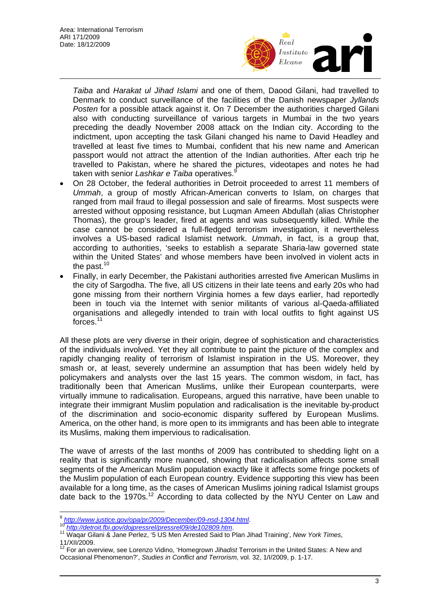

*Taiba* and *Harakat ul Jihad Islami* and one of them, Daood Gilani, had travelled to Denmark to conduct surveillance of the facilities of the Danish newspaper *Jyllands Posten* for a possible attack against it. On 7 December the authorities charged Gilani also with conducting surveillance of various targets in Mumbai in the two years preceding the deadly November 2008 attack on the Indian city. According to the indictment, upon accepting the task Gilani changed his name to David Headley and travelled at least five times to Mumbai, confident that his new name and American passport would not attract the attention of the Indian authorities. After each trip he travelled to Pakistan, where he shared the pictures, videotapes and notes he had taken with senior *Lashkar e Taiba* operatives.<sup>[9](#page-2-0)</sup>

- On 28 October, the federal authorities in Detroit proceeded to arrest 11 members of *Ummah*, a group of mostly African-American converts to Islam, on charges that ranged from mail fraud to illegal possession and sale of firearms. Most suspects were arrested without opposing resistance, but Luqman Ameen Abdullah (alias Christopher Thomas), the group's leader, fired at agents and was subsequently killed. While the case cannot be considered a full-fledged terrorism investigation, it nevertheless involves a US-based radical Islamist network. *Ummah*, in fact, is a group that, according to authorities, 'seeks to establish a separate Sharia-law governed state within the United States' and whose members have been involved in violent acts in the past.<sup>10</sup>
- Finally, in early December, the Pakistani authorities arrested five American Muslims in the city of Sargodha. The five, all US citizens in their late teens and early 20s who had gone missing from their northern Virginia homes a few days earlier, had reportedly been in touch via the Internet with senior militants of various al-Qaeda-affiliated organisations and allegedly intended to train with local outfits to fight against US forces[.11](#page-2-2)

All these plots are very diverse in their origin, degree of sophistication and characteristics of the individuals involved. Yet they all contribute to paint the picture of the complex and rapidly changing reality of terrorism of Islamist inspiration in the US. Moreover, they smash or, at least, severely undermine an assumption that has been widely held by policymakers and analysts over the last 15 years. The common wisdom, in fact, has traditionally been that American Muslims, unlike their European counterparts, were virtually immune to radicalisation. Europeans, argued this narrative, have been unable to integrate their immigrant Muslim population and radicalisation is the inevitable by-product of the discrimination and socio-economic disparity suffered by European Muslims. America, on the other hand, is more open to its immigrants and has been able to integrate its Muslims, making them impervious to radicalisation.

The wave of arrests of the last months of 2009 has contributed to shedding light on a reality that is significantly more nuanced, showing that radicalisation affects some small segments of the American Muslim population exactly like it affects some fringe pockets of the Muslim population of each European country. Evidence supporting this view has been available for a long time, as the cases of American Muslims joining radical Islamist groups date back to the 1970s.<sup>12</sup> According to data collected by the NYU Center on Law and

<span id="page-2-0"></span> $\frac{9 \text{ http://www.justice.gov/opa/pr/2009/December/09-nsd-1304.html}}{10 \text{ http://www.justice.gov/opa/pr/2009/December/09-nsd-1304.html}}$ 

<span id="page-2-1"></span><sup>&</sup>lt;sup>1[0](http://www.justice.gov/opa/pr/2009/December/09-nsd-1304.html)</sup> http://detroit.fbi.gov/dojpressrel/pressrel09/de102809.htm.<br><sup>11</sup> [Waqar Gilani & Jane Perlez, '5 US Men Arrested Said to P](http://detroit.fbi.gov/dojpressrel/pressrel09/de102809.htm)lan Jihad Training', *New York Times*,

<span id="page-2-3"></span><span id="page-2-2"></span><sup>11/</sup>XII/2009.<br><sup>12</sup> For an overview, see Lorenzo Vidino, 'Homegrown *Jihadist* Terrorism in the United States: A New and Occasional Phenomenon?', *Studies in Conflict and Terrorism*, vol. 32, 1/I/2009, p. 1-17.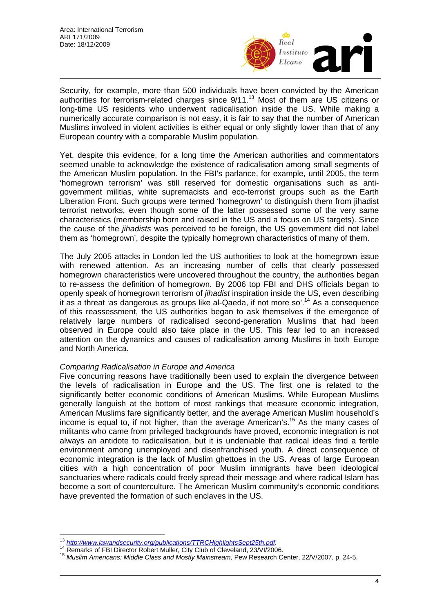

Security, for example, more than 500 individuals have been convicted by the American authorities for terrorism-related charges since 9/11.<sup>13</sup> Most of them are US citizens or long-time US residents who underwent radicalisation inside the US. While making a numerically accurate comparison is not easy, it is fair to say that the number of American Muslims involved in violent activities is either equal or only slightly lower than that of any European country with a comparable Muslim population.

Yet, despite this evidence, for a long time the American authorities and commentators seemed unable to acknowledge the existence of radicalisation among small segments of the American Muslim population. In the FBI's parlance, for example, until 2005, the term 'homegrown terrorism' was still reserved for domestic organisations such as antigovernment militias, white supremacists and eco-terrorist groups such as the Earth Liberation Front. Such groups were termed 'homegrown' to distinguish them from jihadist terrorist networks, even though some of the latter possessed some of the very same characteristics (membership born and raised in the US and a focus on US targets). Since the cause of the *jihadists* was perceived to be foreign, the US government did not label them as 'homegrown', despite the typically homegrown characteristics of many of them.

The July 2005 attacks in London led the US authorities to look at the homegrown issue with renewed attention. As an increasing number of cells that clearly possessed homegrown characteristics were uncovered throughout the country, the authorities began to re-assess the definition of homegrown. By 2006 top FBI and DHS officials began to openly speak of homegrown terrorism of *jihadist* inspiration inside the US, even describing it as a threat 'as dangerous as groups like al-Qaeda, if not more so'.[14](#page-3-1) As a consequence of this reassessment, the US authorities began to ask themselves if the emergence of relatively large numbers of radicalised second-generation Muslims that had been observed in Europe could also take place in the US. This fear led to an increased attention on the dynamics and causes of radicalisation among Muslims in both Europe and North America.

## *Comparing Radicalisation in Europe and America*

Five concurring reasons have traditionally been used to explain the divergence between the levels of radicalisation in Europe and the US. The first one is related to the significantly better economic conditions of American Muslims. While European Muslims generally languish at the bottom of most rankings that measure economic integration, American Muslims fare significantly better, and the average American Muslim household's income is equal to, if not higher, than the average American's.<sup>15</sup> As the many cases of militants who came from privileged backgrounds have proved, economic integration is not always an antidote to radicalisation, but it is undeniable that radical ideas find a fertile environment among unemployed and disenfranchised youth. A direct consequence of economic integration is the lack of Muslim ghettoes in the US. Areas of large European cities with a high concentration of poor Muslim immigrants have been ideological sanctuaries where radicals could freely spread their message and where radical Islam has become a sort of counterculture. The American Muslim community's economic conditions have prevented the formation of such enclaves in the US.

<span id="page-3-0"></span><sup>13</sup> http://www.lawandsecurity.org/publications/TTRCHighlightsSept25th.pdf.

<span id="page-3-2"></span><span id="page-3-1"></span>

<sup>&</sup>lt;sup>14</sup> Remarks of FBI Director Robert Muller, City Club of Cleveland, 23/VI/2006.<br><sup>15</sup> Muslim Americans: Middle Class and Mostly Mainstream, Pew Research Center, 22/V/2007, p. 24-5.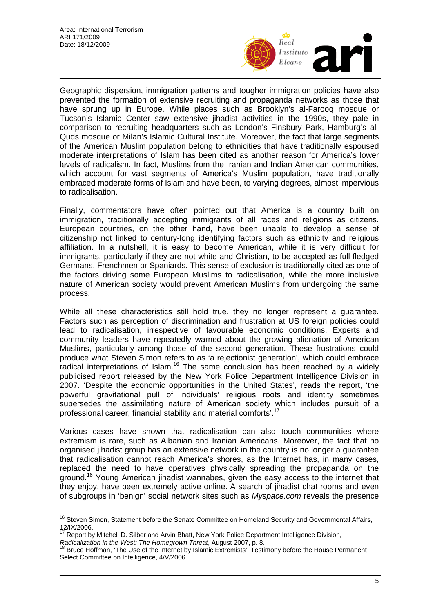

Geographic dispersion, immigration patterns and tougher immigration policies have also prevented the formation of extensive recruiting and propaganda networks as those that have sprung up in Europe. While places such as Brooklyn's al-Farooq mosque or Tucson's Islamic Center saw extensive jihadist activities in the 1990s, they pale in comparison to recruiting headquarters such as London's Finsbury Park, Hamburg's al-Quds mosque or Milan's Islamic Cultural Institute. Moreover, the fact that large segments of the American Muslim population belong to ethnicities that have traditionally espoused moderate interpretations of Islam has been cited as another reason for America's lower levels of radicalism. In fact, Muslims from the Iranian and Indian American communities, which account for vast segments of America's Muslim population, have traditionally embraced moderate forms of Islam and have been, to varying degrees, almost impervious to radicalisation.

Finally, commentators have often pointed out that America is a country built on immigration, traditionally accepting immigrants of all races and religions as citizens. European countries, on the other hand, have been unable to develop a sense of citizenship not linked to century-long identifying factors such as ethnicity and religious affiliation. In a nutshell, it is easy to become American, while it is very difficult for immigrants, particularly if they are not white and Christian, to be accepted as full-fledged Germans, Frenchmen or Spaniards. This sense of exclusion is traditionally cited as one of the factors driving some European Muslims to radicalisation, while the more inclusive nature of American society would prevent American Muslims from undergoing the same process.

While all these characteristics still hold true, they no longer represent a guarantee. Factors such as perception of discrimination and frustration at US foreign policies could lead to radicalisation, irrespective of favourable economic conditions. Experts and community leaders have repeatedly warned about the growing alienation of American Muslims, particularly among those of the second generation. These frustrations could produce what Steven Simon refers to as 'a rejectionist generation', which could embrace radical interpretations of Islam.<sup>16</sup> The same conclusion has been reached by a widely publicised report released by the New York Police Department Intelligence Division in 2007. 'Despite the economic opportunities in the United States', reads the report, 'the powerful gravitational pull of individuals' religious roots and identity sometimes supersedes the assimilating nature of American society which includes pursuit of a professional career, financial stability and material comforts'.<sup>[17](#page-4-1)</sup>

Various cases have shown that radicalisation can also touch communities where extremism is rare, such as Albanian and Iranian Americans. Moreover, the fact that no organised jihadist group has an extensive network in the country is no longer a guarantee that radicalisation cannot reach America's shores, as the Internet has, in many cases, replaced the need to have operatives physically spreading the propaganda on the ground.[18](#page-4-2) Young American jihadist wannabes, given the easy access to the internet that they enjoy, have been extremely active online. A search of jihadist chat rooms and even of subgroups in 'benign' social network sites such as *Myspace.com* reveals the presence

<span id="page-4-0"></span> $\overline{a}$ <sup>16</sup> Steven Simon, Statement before the Senate Committee on Homeland Security and Governmental Affairs, 12/IX/2006.<br><sup>17</sup> Report by Mitchell D. Silber and Arvin Bhatt, New York Police Department Intelligence Division,<br>Radicalization in the West: The Homegrown Threat, August 2007, p. 8.<br><sup>18</sup> Bruce Hoffman, 'The Use of the Inte

<span id="page-4-1"></span>

<span id="page-4-2"></span>*Radicalization in the West: The Homegrown Threat*, August 2007, p. 8. 18 Bruce Hoffman, 'The Use of the Internet by Islamic Extremists', Testimony before the House Permanent Select Committee on Intelligence, 4/V/2006.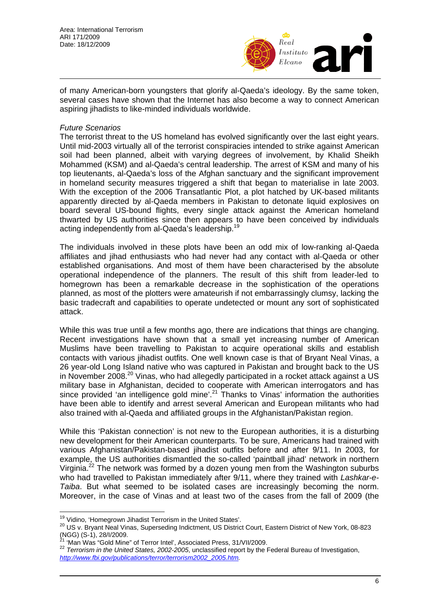

of many American-born youngsters that glorify al-Qaeda's ideology. By the same token, several cases have shown that the Internet has also become a way to connect American aspiring jihadists to like-minded individuals worldwide.

## *Future Scenarios*

The terrorist threat to the US homeland has evolved significantly over the last eight years. Until mid-2003 virtually all of the terrorist conspiracies intended to strike against American soil had been planned, albeit with varying degrees of involvement, by Khalid Sheikh Mohammed (KSM) and al-Qaeda's central leadership. The arrest of KSM and many of his top lieutenants, al-Qaeda's loss of the Afghan sanctuary and the significant improvement in homeland security measures triggered a shift that began to materialise in late 2003. With the exception of the 2006 Transatlantic Plot, a plot hatched by UK-based militants apparently directed by al-Qaeda members in Pakistan to detonate liquid explosives on board several US-bound flights, every single attack against the American homeland thwarted by US authorities since then appears to have been conceived by individuals acting independently from al-Qaeda's leadership.<sup>[19](#page-5-0)</sup>

The individuals involved in these plots have been an odd mix of low-ranking al-Qaeda affiliates and jihad enthusiasts who had never had any contact with al-Qaeda or other established organisations. And most of them have been characterised by the absolute operational independence of the planners. The result of this shift from leader-led to homegrown has been a remarkable decrease in the sophistication of the operations planned, as most of the plotters were amateurish if not embarrassingly clumsy, lacking the basic tradecraft and capabilities to operate undetected or mount any sort of sophisticated attack.

While this was true until a few months ago, there are indications that things are changing. Recent investigations have shown that a small yet increasing number of American Muslims have been travelling to Pakistan to acquire operational skills and establish contacts with various jihadist outfits. One well known case is that of Bryant Neal Vinas, a 26 year-old Long Island native who was captured in Pakistan and brought back to the US in November 2008. $^{20}$  Vinas, who had allegedly participated in a rocket attack against a US military base in Afghanistan, decided to cooperate with American interrogators and has since provided 'an intelligence gold mine'.<sup>21</sup> Thanks to Vinas' information the authorities have been able to identify and arrest several American and European militants who had also trained with al-Qaeda and affiliated groups in the Afghanistan/Pakistan region.

While this 'Pakistan connection' is not new to the European authorities, it is a disturbing new development for their American counterparts. To be sure, Americans had trained with various Afghanistan/Pakistan-based jihadist outfits before and after 9/11. In 2003, for example, the US authorities dismantled the so-called 'paintball jihad' network in northern Virginia.<sup>22</sup> The network was formed by a dozen young men from the Washington suburbs who had travelled to Pakistan immediately after 9/11, where they trained with *Lashkar-e-Taiba*. But what seemed to be isolated cases are increasingly becoming the norm. Moreover, in the case of Vinas and at least two of the cases from the fall of 2009 (the

<span id="page-5-0"></span><sup>&</sup>lt;sup>19</sup> Vidino, 'Homegrown Jihadist Terrorism in the United States'.

<span id="page-5-1"></span><sup>20</sup> US v. Bryant Neal Vinas, Superseding Indictment, US District Court, Eastern District of New York, 08-823 (NGG) (S-1), 28/I/2009.<br><sup>21</sup> 'Man Was "Gold Mine" of Terror Intel', Associated Press, 31/VII/2009.<br><sup>22</sup> *Terrorism in the United States, 2002-2005*, unclassified report by the Federal Bureau of Investigation,

<span id="page-5-2"></span>

<span id="page-5-3"></span>*[http://www.fbi.gov/publications/terror/terrorism2002\\_2005.htm.](http://www.fbi.gov/publications/terror/terrorism2002_2005.htm)*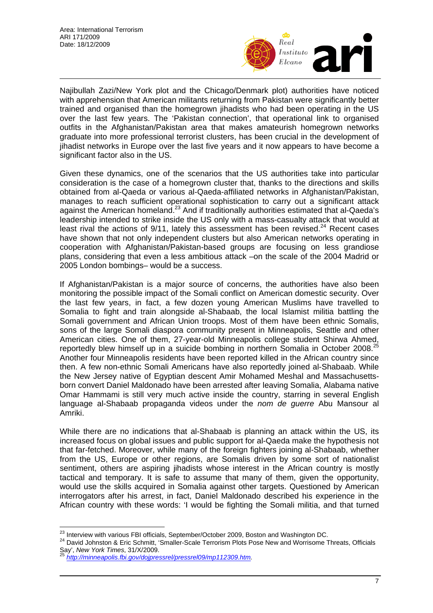

Najibullah Zazi/New York plot and the Chicago/Denmark plot) authorities have noticed with apprehension that American militants returning from Pakistan were significantly better trained and organised than the homegrown jihadists who had been operating in the US over the last few years. The 'Pakistan connection', that operational link to organised outfits in the Afghanistan/Pakistan area that makes amateurish homegrown networks graduate into more professional terrorist clusters, has been crucial in the development of jihadist networks in Europe over the last five years and it now appears to have become a significant factor also in the US.

Given these dynamics, one of the scenarios that the US authorities take into particular consideration is the case of a homegrown cluster that, thanks to the directions and skills obtained from al-Qaeda or various al-Qaeda-affiliated networks in Afghanistan/Pakistan, manages to reach sufficient operational sophistication to carry out a significant attack against the American homeland.<sup>23</sup> And if traditionally authorities estimated that al-Qaeda's leadership intended to strike inside the US only with a mass-casualty attack that would at least rival the actions of  $9/11$ , lately this assessment has been revised.<sup>24</sup> Recent cases have shown that not only independent clusters but also American networks operating in cooperation with Afghanistan/Pakistan-based groups are focusing on less grandiose plans, considering that even a less ambitious attack –on the scale of the 2004 Madrid or 2005 London bombings– would be a success.

If Afghanistan/Pakistan is a major source of concerns, the authorities have also been monitoring the possible impact of the Somali conflict on American domestic security. Over the last few years, in fact, a few dozen young American Muslims have travelled to Somalia to fight and train alongside al-Shabaab, the local Islamist militia battling the Somali government and African Union troops. Most of them have been ethnic Somalis, sons of the large Somali diaspora community present in Minneapolis, Seattle and other American cities. One of them, 27-year-old Minneapolis college student Shirwa Ahmed, reportedly blew himself up in a suicide bombing in northern Somalia in October 2008.<sup>[25](#page-6-2)</sup> Another four Minneapolis residents have been reported killed in the African country since then. A few non-ethnic Somali Americans have also reportedly joined al-Shabaab. While the New Jersey native of Egyptian descent Amir Mohamed Meshal and Massachusettsborn convert Daniel Maldonado have been arrested after leaving Somalia, Alabama native Omar Hammami is still very much active inside the country, starring in several English language al-Shabaab propaganda videos under the *nom de guerre* Abu Mansour al Amriki.

While there are no indications that al-Shabaab is planning an attack within the US, its increased focus on global issues and public support for al-Qaeda make the hypothesis not that far-fetched. Moreover, while many of the foreign fighters joining al-Shabaab, whether from the US, Europe or other regions, are Somalis driven by some sort of nationalist sentiment, others are aspiring jihadists whose interest in the African country is mostly tactical and temporary. It is safe to assume that many of them, given the opportunity, would use the skills acquired in Somalia against other targets. Questioned by American interrogators after his arrest, in fact, Daniel Maldonado described his experience in the African country with these words: 'I would be fighting the Somali militia, and that turned

<span id="page-6-0"></span><sup>&</sup>lt;sup>23</sup> Interview with various FBI officials, September/October 2009, Boston and Washington DC.

<span id="page-6-1"></span><sup>&</sup>lt;sup>24</sup> David Johnston & Eric Schmitt, 'Smaller-Scale Terrorism Plots Pose New and Worrisome Threats, Officials Say', New York Times, 31/X/2009.

<span id="page-6-2"></span>[http://minneapolis.fbi.gov/dojpressrel/pressrel09/mp112309.htm.](http://minneapolis.fbi.gov/dojpressrel/pressrel09/mp112309.htm)